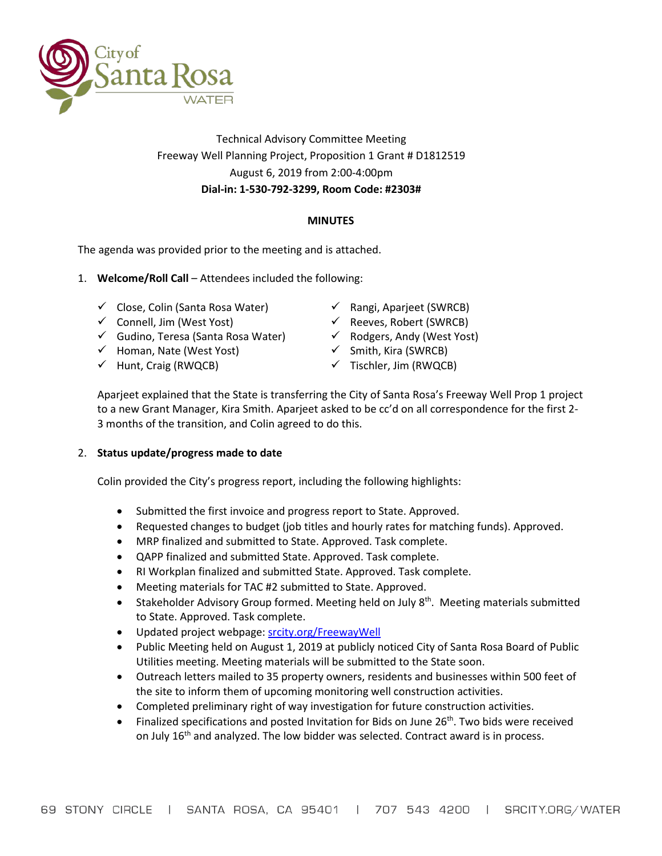

# Technical Advisory Committee Meeting Freeway Well Planning Project, Proposition 1 Grant # D1812519 August 6, 2019 from 2:00-4:00pm **Dial-in: 1-530-792-3299, Room Code: #2303#**

# **MINUTES**

The agenda was provided prior to the meeting and is attached.

- 1. **Welcome/Roll Call** Attendees included the following:
	- $\checkmark$  Close, Colin (Santa Rosa Water)
	- $\checkmark$  Connell, Jim (West Yost)
	- Gudino, Teresa (Santa Rosa Water)
	- $\checkmark$  Homan, Nate (West Yost)
	- $\checkmark$  Hunt, Craig (RWQCB)
- $\checkmark$  Rangi, Aparieet (SWRCB)
- $\checkmark$  Reeves, Robert (SWRCB)
- $\checkmark$  Rodgers, Andy (West Yost)
- $\checkmark$  Smith, Kira (SWRCB)
- $\checkmark$  Tischler, Jim (RWQCB)

Aparjeet explained that the State is transferring the City of Santa Rosa's Freeway Well Prop 1 project to a new Grant Manager, Kira Smith. Aparjeet asked to be cc'd on all correspondence for the first 2- 3 months of the transition, and Colin agreed to do this.

## 2. **Status update/progress made to date**

Colin provided the City's progress report, including the following highlights:

- Submitted the first invoice and progress report to State. Approved.
- Requested changes to budget (job titles and hourly rates for matching funds). Approved.
- MRP finalized and submitted to State. Approved. Task complete.
- QAPP finalized and submitted State. Approved. Task complete.
- RI Workplan finalized and submitted State. Approved. Task complete.
- Meeting materials for TAC #2 submitted to State. Approved.
- Stakeholder Advisory Group formed. Meeting held on July  $8<sup>th</sup>$ . Meeting materials submitted to State. Approved. Task complete.
- Updated project webpage: [srcity.org/FreewayWell](http://www.srcity.org/FreewayWell)
- Public Meeting held on August 1, 2019 at publicly noticed City of Santa Rosa Board of Public Utilities meeting. Meeting materials will be submitted to the State soon.
- Outreach letters mailed to 35 property owners, residents and businesses within 500 feet of the site to inform them of upcoming monitoring well construction activities.
- Completed preliminary right of way investigation for future construction activities.
- Finalized specifications and posted Invitation for Bids on June  $26<sup>th</sup>$ . Two bids were received on July 16<sup>th</sup> and analyzed. The low bidder was selected. Contract award is in process.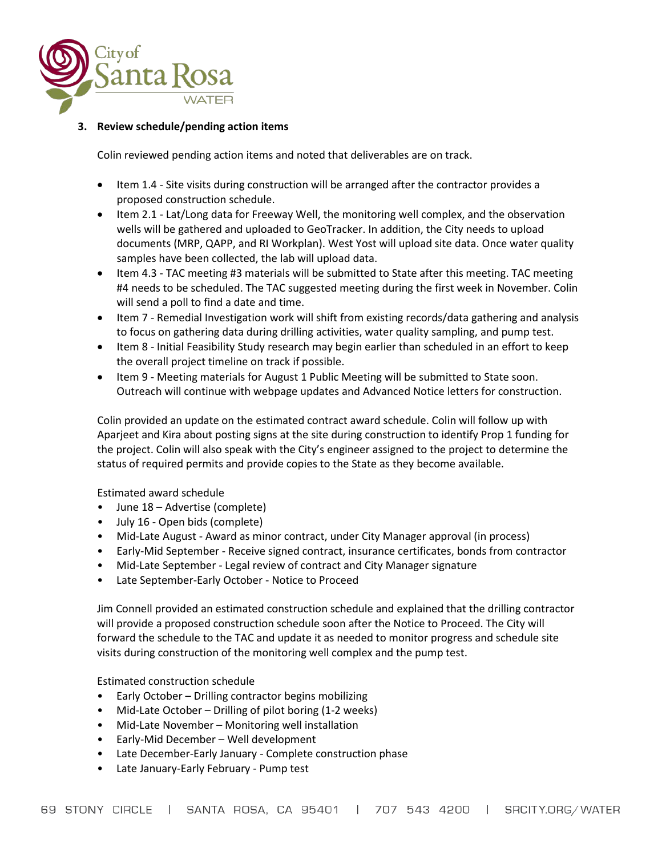

## **3. Review schedule/pending action items**

Colin reviewed pending action items and noted that deliverables are on track.

- Item 1.4 Site visits during construction will be arranged after the contractor provides a proposed construction schedule.
- Item 2.1 Lat/Long data for Freeway Well, the monitoring well complex, and the observation wells will be gathered and uploaded to GeoTracker. In addition, the City needs to upload documents (MRP, QAPP, and RI Workplan). West Yost will upload site data. Once water quality samples have been collected, the lab will upload data.
- Item 4.3 TAC meeting #3 materials will be submitted to State after this meeting. TAC meeting #4 needs to be scheduled. The TAC suggested meeting during the first week in November. Colin will send a poll to find a date and time.
- Item 7 Remedial Investigation work will shift from existing records/data gathering and analysis to focus on gathering data during drilling activities, water quality sampling, and pump test.
- Item 8 Initial Feasibility Study research may begin earlier than scheduled in an effort to keep the overall project timeline on track if possible.
- Item 9 Meeting materials for August 1 Public Meeting will be submitted to State soon. Outreach will continue with webpage updates and Advanced Notice letters for construction.

Colin provided an update on the estimated contract award schedule. Colin will follow up with Aparjeet and Kira about posting signs at the site during construction to identify Prop 1 funding for the project. Colin will also speak with the City's engineer assigned to the project to determine the status of required permits and provide copies to the State as they become available.

Estimated award schedule

- June 18 Advertise (complete)
- July 16 Open bids (complete)
- Mid-Late August Award as minor contract, under City Manager approval (in process)
- Early-Mid September Receive signed contract, insurance certificates, bonds from contractor
- Mid-Late September Legal review of contract and City Manager signature
- Late September-Early October Notice to Proceed

Jim Connell provided an estimated construction schedule and explained that the drilling contractor will provide a proposed construction schedule soon after the Notice to Proceed. The City will forward the schedule to the TAC and update it as needed to monitor progress and schedule site visits during construction of the monitoring well complex and the pump test.

Estimated construction schedule

- Early October Drilling contractor begins mobilizing
- Mid-Late October Drilling of pilot boring (1-2 weeks)
- Mid-Late November Monitoring well installation
- Early-Mid December Well development
- Late December-Early January Complete construction phase
- Late January-Early February Pump test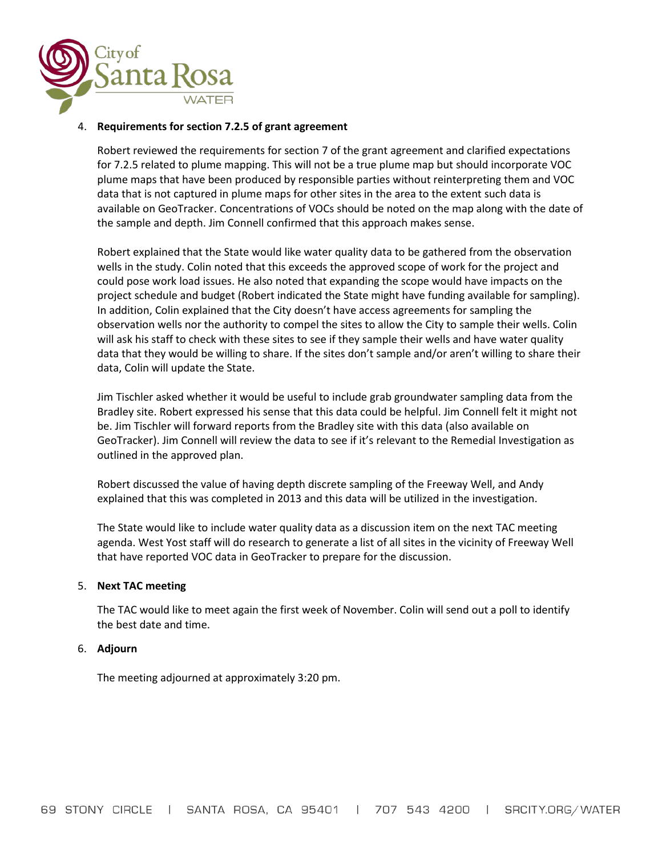

## 4. **Requirements for section 7.2.5 of grant agreement**

Robert reviewed the requirements for section 7 of the grant agreement and clarified expectations for 7.2.5 related to plume mapping. This will not be a true plume map but should incorporate VOC plume maps that have been produced by responsible parties without reinterpreting them and VOC data that is not captured in plume maps for other sites in the area to the extent such data is available on GeoTracker. Concentrations of VOCs should be noted on the map along with the date of the sample and depth. Jim Connell confirmed that this approach makes sense.

Robert explained that the State would like water quality data to be gathered from the observation wells in the study. Colin noted that this exceeds the approved scope of work for the project and could pose work load issues. He also noted that expanding the scope would have impacts on the project schedule and budget (Robert indicated the State might have funding available for sampling). In addition, Colin explained that the City doesn't have access agreements for sampling the observation wells nor the authority to compel the sites to allow the City to sample their wells. Colin will ask his staff to check with these sites to see if they sample their wells and have water quality data that they would be willing to share. If the sites don't sample and/or aren't willing to share their data, Colin will update the State.

Jim Tischler asked whether it would be useful to include grab groundwater sampling data from the Bradley site. Robert expressed his sense that this data could be helpful. Jim Connell felt it might not be. Jim Tischler will forward reports from the Bradley site with this data (also available on GeoTracker). Jim Connell will review the data to see if it's relevant to the Remedial Investigation as outlined in the approved plan.

Robert discussed the value of having depth discrete sampling of the Freeway Well, and Andy explained that this was completed in 2013 and this data will be utilized in the investigation.

The State would like to include water quality data as a discussion item on the next TAC meeting agenda. West Yost staff will do research to generate a list of all sites in the vicinity of Freeway Well that have reported VOC data in GeoTracker to prepare for the discussion.

### 5. **Next TAC meeting**

The TAC would like to meet again the first week of November. Colin will send out a poll to identify the best date and time.

### 6. **Adjourn**

The meeting adjourned at approximately 3:20 pm.